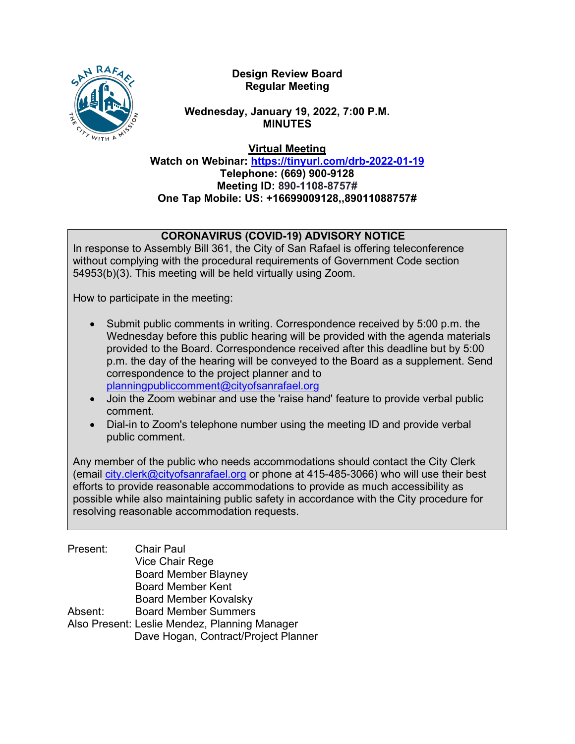

**Design Review Board Regular Meeting**

**Wednesday, January 19, 2022, 7:00 P.M. MINUTES**

**Virtual Meeting**

**Watch on Webinar: <https://tinyurl.com/drb-2022-01-19> Telephone: (669) 900-9128 Meeting ID: 890-1108-8757# One Tap Mobile: US: +16699009128,,89011088757#**

# **CORONAVIRUS (COVID-19) ADVISORY NOTICE**

In response to Assembly Bill 361, the City of San Rafael is offering teleconference without complying with the procedural requirements of Government Code section 54953(b)(3). This meeting will be held virtually using Zoom.

How to participate in the meeting:

- Submit public comments in writing. Correspondence received by 5:00 p.m. the Wednesday before this public hearing will be provided with the agenda materials provided to the Board. Correspondence received after this deadline but by 5:00 p.m. the day of the hearing will be conveyed to the Board as a supplement. Send correspondence to the project planner and to [planningpubliccomment@cityofsanrafael.org](mailto:planningpubliccomment@cityofsanrafael.org)
- Join the Zoom webinar and use the 'raise hand' feature to provide verbal public comment.
- Dial-in to Zoom's telephone number using the meeting ID and provide verbal public comment.

Any member of the public who needs accommodations should contact the City Clerk (email [city.clerk@cityofsanrafael.org](mailto:city.clerk@cityofsanrafael.org) or phone at 415-485-3066) who will use their best efforts to provide reasonable accommodations to provide as much accessibility as possible while also maintaining public safety in accordance with the City procedure for resolving reasonable accommodation requests.

| Present: | <b>Chair Paul</b>                             |
|----------|-----------------------------------------------|
|          | Vice Chair Rege                               |
|          | <b>Board Member Blayney</b>                   |
|          | <b>Board Member Kent</b>                      |
|          | <b>Board Member Kovalsky</b>                  |
| Absent:  | <b>Board Member Summers</b>                   |
|          | Also Present: Leslie Mendez, Planning Manager |
|          | Dave Hogan, Contract/Project Planner          |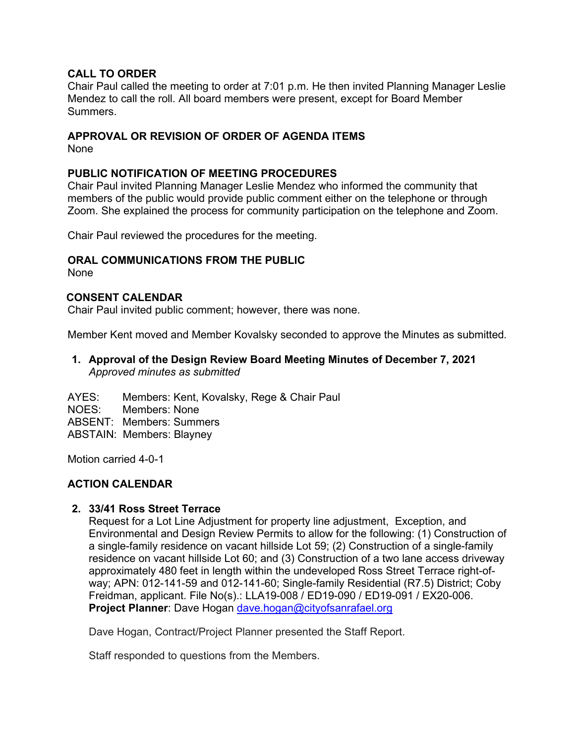### **CALL TO ORDER**

Chair Paul called the meeting to order at 7:01 p.m. He then invited Planning Manager Leslie Mendez to call the roll. All board members were present, except for Board Member **Summers** 

## **APPROVAL OR REVISION OF ORDER OF AGENDA ITEMS**

None

## **PUBLIC NOTIFICATION OF MEETING PROCEDURES**

Chair Paul invited Planning Manager Leslie Mendez who informed the community that members of the public would provide public comment either on the telephone or through Zoom. She explained the process for community participation on the telephone and Zoom.

Chair Paul reviewed the procedures for the meeting.

## **ORAL COMMUNICATIONS FROM THE PUBLIC**

None

#### **CONSENT CALENDAR**

Chair Paul invited public comment; however, there was none.

Member Kent moved and Member Kovalsky seconded to approve the Minutes as submitted*.* 

## **1. Approval of the Design Review Board Meeting Minutes of December 7, 2021** *Approved minutes as submitted*

AYES: Members: Kent, Kovalsky, Rege & Chair Paul NOES: Members: None ABSENT: Members: Summers ABSTAIN: Members: Blayney

Motion carried 4-0-1

#### **ACTION CALENDAR**

#### **2. 33/41 Ross Street Terrace**

Request for a Lot Line Adjustment for property line adjustment, Exception, and Environmental and Design Review Permits to allow for the following: (1) Construction of a single-family residence on vacant hillside Lot 59; (2) Construction of a single-family residence on vacant hillside Lot 60; and (3) Construction of a two lane access driveway approximately 480 feet in length within the undeveloped Ross Street Terrace right-ofway; APN: 012-141-59 and 012-141-60; Single-family Residential (R7.5) District; Coby Freidman, applicant. File No(s).: LLA19-008 / ED19-090 / ED19-091 / EX20-006. **Project Planner**: Dave Hogan [dave.hogan@cityofsanrafael.org](mailto:dave.hogan@cityofsanrafael.org)

Dave Hogan, Contract/Project Planner presented the Staff Report.

Staff responded to questions from the Members.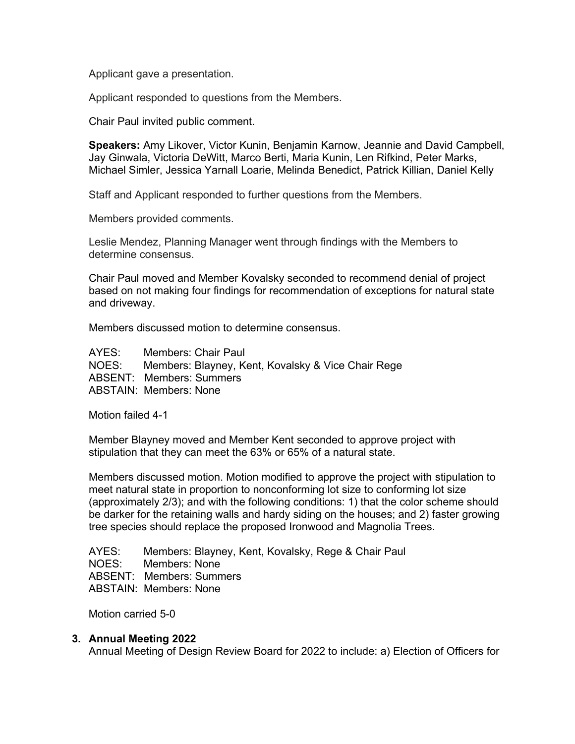Applicant gave a presentation.

Applicant responded to questions from the Members.

Chair Paul invited public comment.

**Speakers:** Amy Likover, Victor Kunin, Benjamin Karnow, Jeannie and David Campbell, Jay Ginwala, Victoria DeWitt, Marco Berti, Maria Kunin, Len Rifkind, Peter Marks, Michael Simler, Jessica Yarnall Loarie, Melinda Benedict, Patrick Killian, Daniel Kelly

Staff and Applicant responded to further questions from the Members.

Members provided comments.

Leslie Mendez, Planning Manager went through findings with the Members to determine consensus.

Chair Paul moved and Member Kovalsky seconded to recommend denial of project based on not making four findings for recommendation of exceptions for natural state and driveway.

Members discussed motion to determine consensus.

AYES: Members: Chair Paul NOES: Members: Blayney, Kent, Kovalsky & Vice Chair Rege ABSENT: Members: Summers ABSTAIN: Members: None

Motion failed 4-1

Member Blayney moved and Member Kent seconded to approve project with stipulation that they can meet the 63% or 65% of a natural state.

Members discussed motion. Motion modified to approve the project with stipulation to meet natural state in proportion to nonconforming lot size to conforming lot size (approximately 2/3); and with the following conditions: 1) that the color scheme should be darker for the retaining walls and hardy siding on the houses; and 2) faster growing tree species should replace the proposed Ironwood and Magnolia Trees.

AYES: Members: Blayney, Kent, Kovalsky, Rege & Chair Paul NOES: Members: None ABSENT: Members: Summers ABSTAIN: Members: None

Motion carried 5-0

#### **3. Annual Meeting 2022**

Annual Meeting of Design Review Board for 2022 to include: a) Election of Officers for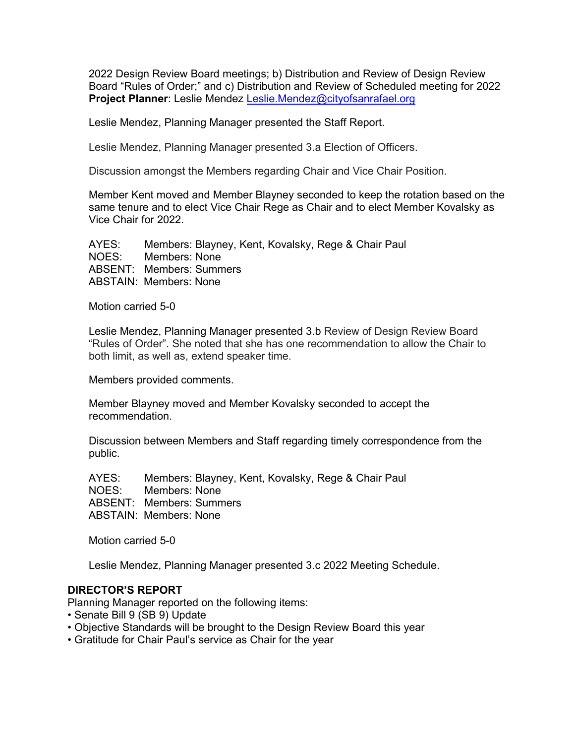2022 Design Review Board meetings; b) Distribution and Review of Design Review Board "Rules of Order;" and c) Distribution and Review of Scheduled meeting for 2022 **Project Planner**: Leslie Mendez [Leslie.Mendez@cityofsanrafael.org](mailto:Leslie.Mendez@cityofsanrafael.org)

Leslie Mendez, Planning Manager presented the Staff Report.

Leslie Mendez, Planning Manager presented 3.a Election of Officers.

Discussion amongst the Members regarding Chair and Vice Chair Position.

Member Kent moved and Member Blayney seconded to keep the rotation based on the same tenure and to elect Vice Chair Rege as Chair and to elect Member Kovalsky as Vice Chair for 2022.

 AYES: Members: Blayney, Kent, Kovalsky, Rege & Chair Paul NOES: Members: None ABSENT: Members: Summers ABSTAIN: Members: None

Motion carried 5-0

Leslie Mendez, Planning Manager presented 3.b Review of Design Review Board "Rules of Order". She noted that she has one recommendation to allow the Chair to both limit, as well as, extend speaker time.

Members provided comments.

Member Blayney moved and Member Kovalsky seconded to accept the recommendation.

Discussion between Members and Staff regarding timely correspondence from the public.

 AYES: Members: Blayney, Kent, Kovalsky, Rege & Chair Paul NOES: Members: None ABSENT: Members: Summers ABSTAIN: Members: None

Motion carried 5-0

Leslie Mendez, Planning Manager presented 3.c 2022 Meeting Schedule.

#### **DIRECTOR'S REPORT**

Planning Manager reported on the following items:

- Senate Bill 9 (SB 9) Update
- Objective Standards will be brought to the Design Review Board this year
- Gratitude for Chair Paul's service as Chair for the year